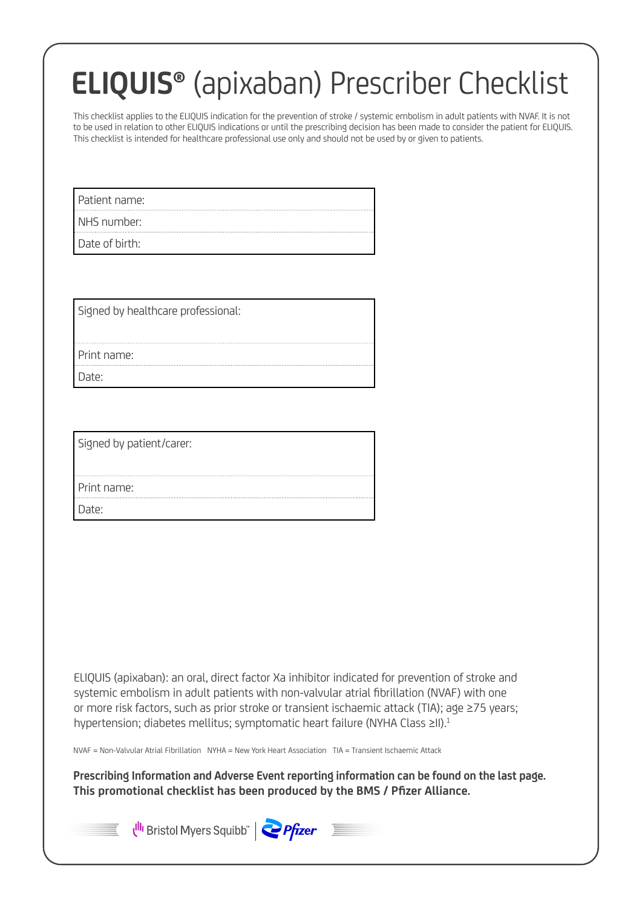# **ELIQUIS®** (apixaban) Prescriber Checklist

This checklist applies to the ELIQUIS indication for the prevention of stroke / systemic embolism in adult patients with NVAF. It is not to be used in relation to other ELIQUIS indications or until the prescribing decision has been made to consider the patient for ELIQUIS. This checklist is intended for healthcare professional use only and should not be used by or given to patients.

Patient name:

NHS number:

Date of birth:

Signed by healthcare professional:

Print name:

Date:

Signed by patient/carer:

Print name:

Date<sup>.</sup>

ELIQUIS (apixaban): an oral, direct factor Xa inhibitor indicated for prevention of stroke and systemic embolism in adult patients with non-valvular atrial fibrillation (NVAF) with one or more risk factors, such as prior stroke or transient ischaemic attack (TIA); age ≥75 years; hypertension; diabetes mellitus; symptomatic heart failure (NYHA Class ≥II).<sup>1</sup>

NVAF = Non-Valvular Atrial Fibrillation NYHA = New York Heart Association TIA = Transient Ischaemic Attack

**Prescribing Information and Adverse Event reporting information can be found on the last page. This promotional checklist has been produced by the BMS / Pfizer Alliance.**



Ulli Bristol Myers Squibb" | Pfizer

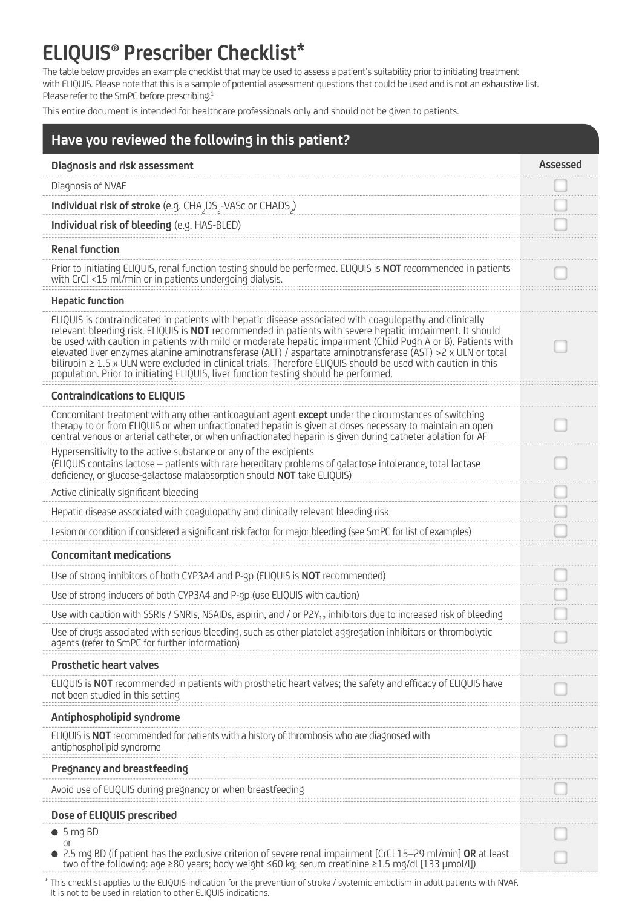## **ELIQUIS® Prescriber Checklist\***

The table below provides an example checklist that may be used to assess a patient's suitability prior to initiating treatment with ELIQUIS. Please note that this is a sample of potential assessment questions that could be used and is not an exhaustive list. Please refer to the SmPC before prescribing.<sup>1</sup>

This entire document is intended for healthcare professionals only and should not be given to patients.

| Have you reviewed the following in this patient?                                                                                                                                                                                                                                                                                                                                                                                                                                                                                                                                                                                                                  |          |
|-------------------------------------------------------------------------------------------------------------------------------------------------------------------------------------------------------------------------------------------------------------------------------------------------------------------------------------------------------------------------------------------------------------------------------------------------------------------------------------------------------------------------------------------------------------------------------------------------------------------------------------------------------------------|----------|
| Diagnosis and risk assessment                                                                                                                                                                                                                                                                                                                                                                                                                                                                                                                                                                                                                                     | Assessed |
| Diagnosis of NVAF                                                                                                                                                                                                                                                                                                                                                                                                                                                                                                                                                                                                                                                 |          |
| Individual risk of stroke (e.g. CHA <sub>2</sub> DS <sub>2</sub> -VASc or CHADS <sub>2</sub> )                                                                                                                                                                                                                                                                                                                                                                                                                                                                                                                                                                    |          |
| Individual risk of bleeding (e.g. HAS-BLED)                                                                                                                                                                                                                                                                                                                                                                                                                                                                                                                                                                                                                       |          |
| <b>Renal function</b>                                                                                                                                                                                                                                                                                                                                                                                                                                                                                                                                                                                                                                             |          |
| Prior to initiating ELIQUIS, renal function testing should be performed. ELIQUIS is NOT recommended in patients<br>with CrCl <15 ml/min or in patients undergoing dialysis.                                                                                                                                                                                                                                                                                                                                                                                                                                                                                       |          |
| <b>Hepatic function</b>                                                                                                                                                                                                                                                                                                                                                                                                                                                                                                                                                                                                                                           |          |
| ELIQUIS is contraindicated in patients with hepatic disease associated with coagulopathy and clinically<br>relevant bleeding risk. ELIQUIS is <b>NOT</b> recommended in patients with severe hepatic impairment. It should<br>be used with caution in patients with mild or moderate hepatic impairment (Child Pugh A or B). Patients with<br>elevated liver enzymes alanine aminotransferase (ALT) / aspartate aminotransferase (AST) >2 x ULN or total<br>bilirubin ≥ 1.5 x ULN were excluded in clinical trials. Therefore ELIQUIS should be used with caution in this<br>population. Prior to initiating ELIQUIS, liver function testing should be performed. |          |
| <b>Contraindications to ELIQUIS</b>                                                                                                                                                                                                                                                                                                                                                                                                                                                                                                                                                                                                                               |          |
| Concomitant treatment with any other anticoagulant agent except under the circumstances of switching<br>therapy to or from ELIQUIS or when unfractionated heparin is given at doses necessary to maintain an open<br>central venous or arterial catheter, or when unfractionated heparin is given during catheter ablation for AF                                                                                                                                                                                                                                                                                                                                 |          |
| Hypersensitivity to the active substance or any of the excipients<br>(ELIQUIS contains lactose - patients with rare hereditary problems of galactose intolerance, total lactase<br>deficiency, or glucose-galactose malabsorption should NOT take ELIQUIS)                                                                                                                                                                                                                                                                                                                                                                                                        |          |
| Active clinically significant bleeding                                                                                                                                                                                                                                                                                                                                                                                                                                                                                                                                                                                                                            |          |
| Hepatic disease associated with coagulopathy and clinically relevant bleeding risk                                                                                                                                                                                                                                                                                                                                                                                                                                                                                                                                                                                |          |
| Lesion or condition if considered a significant risk factor for major bleeding (see SmPC for list of examples)                                                                                                                                                                                                                                                                                                                                                                                                                                                                                                                                                    |          |
| <b>Concomitant medications</b>                                                                                                                                                                                                                                                                                                                                                                                                                                                                                                                                                                                                                                    |          |
| Use of strong inhibitors of both CYP3A4 and P-gp (ELIQUIS is NOT recommended)                                                                                                                                                                                                                                                                                                                                                                                                                                                                                                                                                                                     |          |
| Use of strong inducers of both CYP3A4 and P-gp (use ELIQUIS with caution)                                                                                                                                                                                                                                                                                                                                                                                                                                                                                                                                                                                         |          |
| Use with caution with SSRIs / SNRIs, NSAIDs, aspirin, and / or P2Y <sub>12</sub> inhibitors due to increased risk of bleeding                                                                                                                                                                                                                                                                                                                                                                                                                                                                                                                                     |          |
| Use of drugs associated with serious bleeding, such as other platelet aggregation inhibitors or thrombolytic<br>agents (refer to SmPC for further information)                                                                                                                                                                                                                                                                                                                                                                                                                                                                                                    |          |
| <b>Prosthetic heart valves</b>                                                                                                                                                                                                                                                                                                                                                                                                                                                                                                                                                                                                                                    |          |
| ELIQUIS is NOT recommended in patients with prosthetic heart valves; the safety and efficacy of ELIQUIS have<br>not been studied in this setting                                                                                                                                                                                                                                                                                                                                                                                                                                                                                                                  |          |
| Antiphospholipid syndrome                                                                                                                                                                                                                                                                                                                                                                                                                                                                                                                                                                                                                                         |          |
| ELIQUIS is NOT recommended for patients with a history of thrombosis who are diagnosed with<br>antiphospholipid syndrome                                                                                                                                                                                                                                                                                                                                                                                                                                                                                                                                          |          |
| Pregnancy and breastfeeding                                                                                                                                                                                                                                                                                                                                                                                                                                                                                                                                                                                                                                       |          |
| Avoid use of ELIQUIS during pregnancy or when breastfeeding                                                                                                                                                                                                                                                                                                                                                                                                                                                                                                                                                                                                       |          |
| Dose of ELIQUIS prescribed                                                                                                                                                                                                                                                                                                                                                                                                                                                                                                                                                                                                                                        |          |
| • 5 mg BD<br><b>or</b>                                                                                                                                                                                                                                                                                                                                                                                                                                                                                                                                                                                                                                            |          |
| 2.5 mg BD (if patient has the exclusive criterion of severe renal impairment [CrCl 15-29 ml/min] OR at least<br>two of the following: age ≥80 years; body weight ≤60 kg; serum creatinine ≥1.5 mg/dl [133 µmol/l])                                                                                                                                                                                                                                                                                                                                                                                                                                                |          |

 \* This checklist applies to the ELIQUIS indication for the prevention of stroke / systemic embolism in adult patients with NVAF. It is not to be used in relation to other ELIQUIS indications.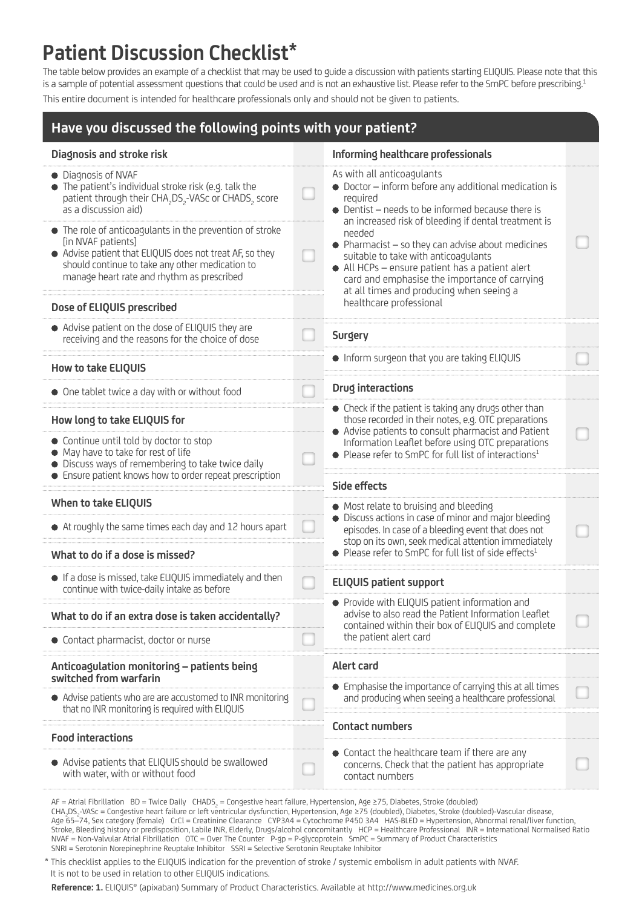### **Patient Discussion Checklist\***

The table below provides an example of a checklist that may be used to guide a discussion with patients starting ELIQUIS. Please note that this is a sample of potential assessment questions that could be used and is not an exhaustive list. Please refer to the SmPC before prescribing.<sup>1</sup> This entire document is intended for healthcare professionals only and should not be given to patients.

| Have you discussed the following points with your patient?                                                                                                                                                                                  |  |                                                                                                                                                                                                                                                                                                                                                                                                                                                                               |  |  |
|---------------------------------------------------------------------------------------------------------------------------------------------------------------------------------------------------------------------------------------------|--|-------------------------------------------------------------------------------------------------------------------------------------------------------------------------------------------------------------------------------------------------------------------------------------------------------------------------------------------------------------------------------------------------------------------------------------------------------------------------------|--|--|
| Diagnosis and stroke risk                                                                                                                                                                                                                   |  | Informing healthcare professionals                                                                                                                                                                                                                                                                                                                                                                                                                                            |  |  |
| • Diagnosis of NVAF<br>• The patient's individual stroke risk (e.g. talk the<br>patient through their CHA <sub>2</sub> DS <sub>2</sub> -VASc or CHADS <sub>2</sub> score<br>as a discussion aid)                                            |  | As with all anticoagulants<br>• Doctor - inform before any additional medication is<br>required<br>• Dentist - needs to be informed because there is<br>an increased risk of bleeding if dental treatment is<br>needed<br>$\bullet$ Pharmacist $-$ so they can advise about medicines<br>suitable to take with anticoagulants<br>• All HCPs - ensure patient has a patient alert<br>card and emphasise the importance of carrying<br>at all times and producing when seeing a |  |  |
| • The role of anticoagulants in the prevention of stroke<br>[in NVAF patients]<br>• Advise patient that ELIQUIS does not treat AF, so they<br>should continue to take any other medication to<br>manage heart rate and rhythm as prescribed |  |                                                                                                                                                                                                                                                                                                                                                                                                                                                                               |  |  |
| Dose of ELIQUIS prescribed                                                                                                                                                                                                                  |  | healthcare professional                                                                                                                                                                                                                                                                                                                                                                                                                                                       |  |  |
| • Advise patient on the dose of ELIQUIS they are<br>receiving and the reasons for the choice of dose                                                                                                                                        |  | <b>Surgery</b>                                                                                                                                                                                                                                                                                                                                                                                                                                                                |  |  |
| <b>How to take ELIQUIS</b>                                                                                                                                                                                                                  |  | . Inform surgeon that you are taking ELIQUIS                                                                                                                                                                                                                                                                                                                                                                                                                                  |  |  |
| • One tablet twice a day with or without food                                                                                                                                                                                               |  | <b>Drug interactions</b>                                                                                                                                                                                                                                                                                                                                                                                                                                                      |  |  |
| How long to take ELIQUIS for                                                                                                                                                                                                                |  | • Check if the patient is taking any drugs other than<br>those recorded in their notes, e.g. OTC preparations<br>• Advise patients to consult pharmacist and Patient                                                                                                                                                                                                                                                                                                          |  |  |
| • Continue until told by doctor to stop<br>• May have to take for rest of life<br>• Discuss ways of remembering to take twice daily                                                                                                         |  | Information Leaflet before using OTC preparations<br>$\bullet$ Please refer to SmPC for full list of interactions <sup>1</sup>                                                                                                                                                                                                                                                                                                                                                |  |  |
| • Ensure patient knows how to order repeat prescription                                                                                                                                                                                     |  | Side effects                                                                                                                                                                                                                                                                                                                                                                                                                                                                  |  |  |
| <b>When to take ELIQUIS</b>                                                                                                                                                                                                                 |  | • Most relate to bruising and bleeding                                                                                                                                                                                                                                                                                                                                                                                                                                        |  |  |
| • At roughly the same times each day and 12 hours apart                                                                                                                                                                                     |  | • Discuss actions in case of minor and major bleeding<br>episodes. In case of a bleeding event that does not<br>stop on its own, seek medical attention immediately<br>$\bullet$ Please refer to SmPC for full list of side effects <sup>1</sup>                                                                                                                                                                                                                              |  |  |
| What to do if a dose is missed?                                                                                                                                                                                                             |  |                                                                                                                                                                                                                                                                                                                                                                                                                                                                               |  |  |
| • If a dose is missed, take ELIQUIS immediately and then<br>continue with twice-daily intake as before                                                                                                                                      |  | <b>ELIQUIS patient support</b>                                                                                                                                                                                                                                                                                                                                                                                                                                                |  |  |
|                                                                                                                                                                                                                                             |  | • Provide with ELIQUIS patient information and<br>advise to also read the Patient Information Leaflet                                                                                                                                                                                                                                                                                                                                                                         |  |  |
| What to do if an extra dose is taken accidentally?                                                                                                                                                                                          |  | contained within their box of ELIQUIS and complete<br>the patient alert card                                                                                                                                                                                                                                                                                                                                                                                                  |  |  |
| • Contact pharmacist, doctor or nurse                                                                                                                                                                                                       |  |                                                                                                                                                                                                                                                                                                                                                                                                                                                                               |  |  |
| Anticoagulation monitoring - patients being<br>switched from warfarin                                                                                                                                                                       |  | <b>Alert card</b>                                                                                                                                                                                                                                                                                                                                                                                                                                                             |  |  |
| • Advise patients who are are accustomed to INR monitoring<br>that no INR monitoring is required with ELIQUIS                                                                                                                               |  | • Emphasise the importance of carrying this at all times<br>and producing when seeing a healthcare professional                                                                                                                                                                                                                                                                                                                                                               |  |  |
| <b>Food interactions</b>                                                                                                                                                                                                                    |  | <b>Contact numbers</b>                                                                                                                                                                                                                                                                                                                                                                                                                                                        |  |  |
| • Advise patients that ELIQUIS should be swallowed<br>with water, with or without food                                                                                                                                                      |  | • Contact the healthcare team if there are any<br>concerns. Check that the patient has appropriate<br>contact numbers                                                                                                                                                                                                                                                                                                                                                         |  |  |

AF = Atrial Fibrillation BD = Twice Daily CHADS<sub>2</sub> = Congestive heart failure, Hypertension, Age ≥75, Diabetes, Stroke (doubled) CHA<sub>2</sub>DS<sub>2</sub>-VASc = Congestive heart failure or left ventricular dysfunction, Hypertension, Age ≥75 (doubled), Diabetes, Stroke (doubled)-Vascular disease, Age 65–74, Sex category (female) CrCl = Creatinine Clearance CYP3A4 = Cytochrome P450 3A4 HAS-BLED = Hypertension, Abnormal renal/liver function, Stroke, Bleeding history or predisposition, Labile INR, Elderly, Drugs/alcohol concomitantly HCP = Healthcare Professional INR = International Normalised Ratio NVAF = Non-Valvular Atrial Fibrillation OTC = Over The Counter P-gp = P-glycoprotein SmPC = Summary of Product Characteristics SNRI = Serotonin Norepinephrine Reuptake Inhibitor SSRI = Selective Serotonin Reuptake Inhibitor

 \* This checklist applies to the ELIQUIS indication for the prevention of stroke / systemic embolism in adult patients with NVAF. It is not to be used in relation to other ELIQUIS indications.

**Reference: 1.** ELIQUIS® (apixaban) Summary of Product Characteristics. Available at <http://www.medicines.org.uk>